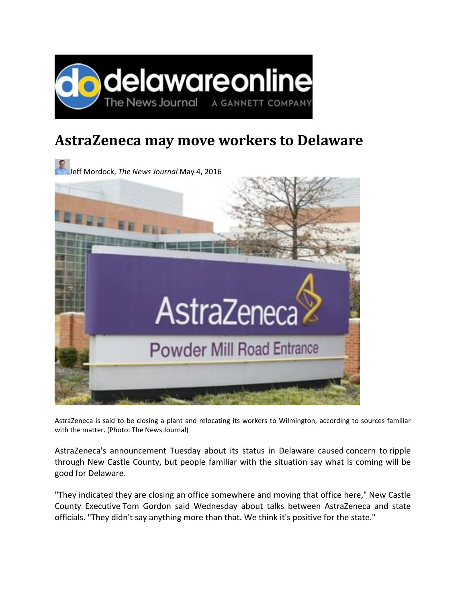

## **AstraZeneca may move workers to Delaware**



AstraZeneca is said to be closing a plant and relocating its workers to Wilmington, according to sources familiar with the matter. (Photo: The News Journal)

AstraZeneca's announcement Tuesday about its status in Delaware caused concern to ripple through New Castle County, but people familiar with the situation say what is coming will be good for Delaware.

"They indicated they are closing an office somewhere and moving that office here," New Castle County Executive Tom Gordon said Wednesday about talks between AstraZeneca and state officials. "They didn't say anything more than that. We think it's positive for the state."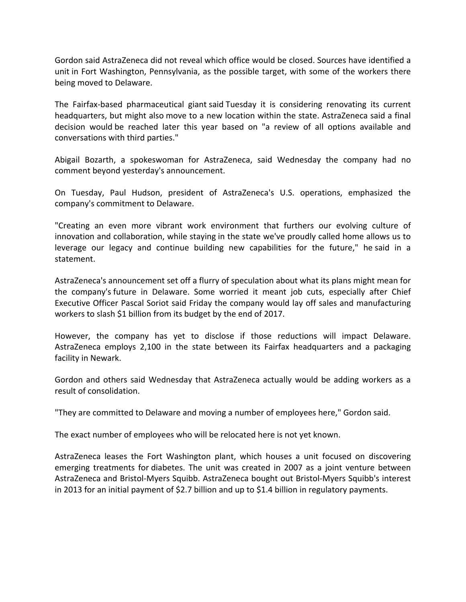Gordon said AstraZeneca did not reveal which office would be closed. Sources have identified a unit in Fort Washington, Pennsylvania, as the possible target, with some of the workers there being moved to Delaware.

The Fairfax‐based pharmaceutical giant said Tuesday it is considering renovating its current headquarters, but might also move to a new location within the state. AstraZeneca said a final decision would be reached later this year based on "a review of all options available and conversations with third parties."

Abigail Bozarth, a spokeswoman for AstraZeneca, said Wednesday the company had no comment beyond yesterday's announcement.

On Tuesday, Paul Hudson, president of AstraZeneca's U.S. operations, emphasized the company's commitment to Delaware.

"Creating an even more vibrant work environment that furthers our evolving culture of innovation and collaboration, while staying in the state we've proudly called home allows us to leverage our legacy and continue building new capabilities for the future," he said in a statement.

AstraZeneca's announcement set off a flurry of speculation about what its plans might mean for the company's future in Delaware. Some worried it meant job cuts, especially after Chief Executive Officer Pascal Soriot said Friday the company would lay off sales and manufacturing workers to slash \$1 billion from its budget by the end of 2017.

However, the company has yet to disclose if those reductions will impact Delaware. AstraZeneca employs 2,100 in the state between its Fairfax headquarters and a packaging facility in Newark.

Gordon and others said Wednesday that AstraZeneca actually would be adding workers as a result of consolidation.

"They are committed to Delaware and moving a number of employees here," Gordon said.

The exact number of employees who will be relocated here is not yet known.

AstraZeneca leases the Fort Washington plant, which houses a unit focused on discovering emerging treatments for diabetes. The unit was created in 2007 as a joint venture between AstraZeneca and Bristol‐Myers Squibb. AstraZeneca bought out Bristol‐Myers Squibb's interest in 2013 for an initial payment of \$2.7 billion and up to \$1.4 billion in regulatory payments.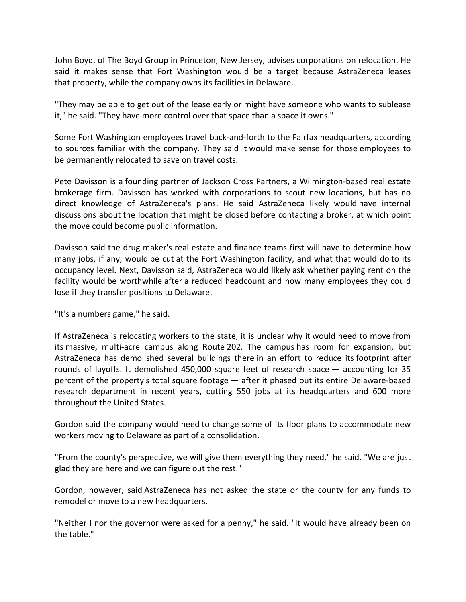John Boyd, of The Boyd Group in Princeton, New Jersey, advises corporations on relocation. He said it makes sense that Fort Washington would be a target because AstraZeneca leases that property, while the company owns its facilities in Delaware.

"They may be able to get out of the lease early or might have someone who wants to sublease it," he said. "They have more control over that space than a space it owns."

Some Fort Washington employees travel back-and-forth to the Fairfax headquarters, according to sources familiar with the company. They said it would make sense for those employees to be permanently relocated to save on travel costs.

Pete Davisson is a founding partner of Jackson Cross Partners, a Wilmington‐based real estate brokerage firm. Davisson has worked with corporations to scout new locations, but has no direct knowledge of AstraZeneca's plans. He said AstraZeneca likely would have internal discussions about the location that might be closed before contacting a broker, at which point the move could become public information.

Davisson said the drug maker's real estate and finance teams first will have to determine how many jobs, if any, would be cut at the Fort Washington facility, and what that would do to its occupancy level. Next, Davisson said, AstraZeneca would likely ask whether paying rent on the facility would be worthwhile after a reduced headcount and how many employees they could lose if they transfer positions to Delaware.

"It's a numbers game," he said.

If AstraZeneca is relocating workers to the state, it is unclear why it would need to move from its massive, multi‐acre campus along Route 202. The campus has room for expansion, but AstraZeneca has demolished several buildings there in an effort to reduce its footprint after rounds of layoffs. It demolished 450,000 square feet of research space — accounting for 35 percent of the property's total square footage — after it phased out its entire Delaware‐based research department in recent years, cutting 550 jobs at its headquarters and 600 more throughout the United States.

Gordon said the company would need to change some of its floor plans to accommodate new workers moving to Delaware as part of a consolidation.

"From the county's perspective, we will give them everything they need," he said. "We are just glad they are here and we can figure out the rest."

Gordon, however, said AstraZeneca has not asked the state or the county for any funds to remodel or move to a new headquarters.

"Neither I nor the governor were asked for a penny," he said. "It would have already been on the table."